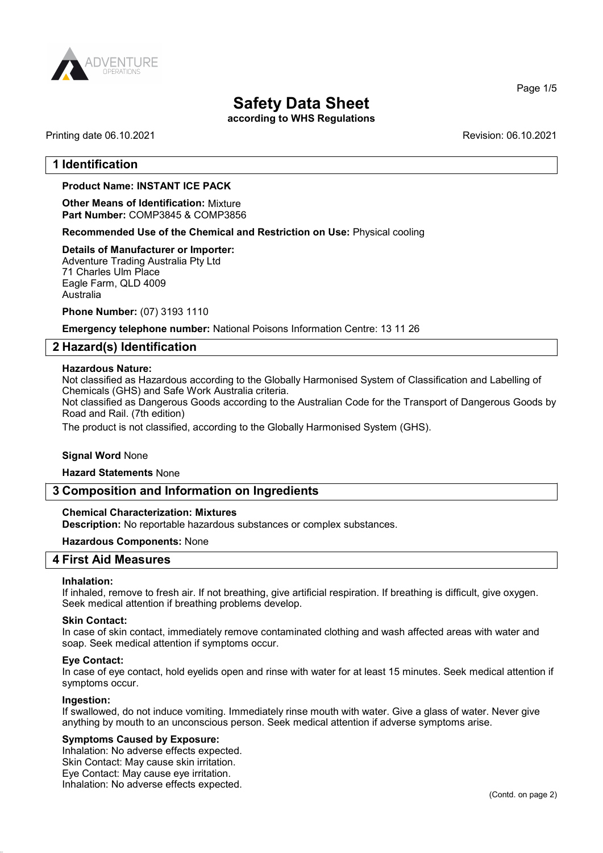

# Safety Data Sheet

according to WHS Regulations

## Printing date 06.10.2021 Revision: 06.10.2021

Page 1/5

## 1 Identification

## Product Name: INSTANT ICE PACK

Other Means of Identification: Mixture Part Number: COMP3845 & COMP3856

Recommended Use of the Chemical and Restriction on Use: Physical cooling

## Details of Manufacturer or Importer:

Adventure Trading Australia Pty Ltd 71 Charles Ulm Place Eagle Farm, QLD 4009 Australia

Phone Number: (07) 3193 1110

Emergency telephone number: National Poisons Information Centre: 13 11 26

## 2 Hazard(s) Identification

#### Hazardous Nature:

Not classified as Hazardous according to the Globally Harmonised System of Classification and Labelling of Chemicals (GHS) and Safe Work Australia criteria.

Not classified as Dangerous Goods according to the Australian Code for the Transport of Dangerous Goods by Road and Rail. (7th edition)

The product is not classified, according to the Globally Harmonised System (GHS).

## Signal Word None

## Hazard Statements None

## 3 Composition and Information on Ingredients

#### Chemical Characterization: Mixtures

Description: No reportable hazardous substances or complex substances.

#### Hazardous Components: None

# 4 First Aid Measures

#### Inhalation:

If inhaled, remove to fresh air. If not breathing, give artificial respiration. If breathing is difficult, give oxygen. Seek medical attention if breathing problems develop.

#### Skin Contact:

In case of skin contact, immediately remove contaminated clothing and wash affected areas with water and soap. Seek medical attention if symptoms occur.

#### Eye Contact:

In case of eye contact, hold eyelids open and rinse with water for at least 15 minutes. Seek medical attention if symptoms occur.

#### Ingestion:

If swallowed, do not induce vomiting. Immediately rinse mouth with water. Give a glass of water. Never give anything by mouth to an unconscious person. Seek medical attention if adverse symptoms arise.

#### Symptoms Caused by Exposure:

Inhalation: No adverse effects expected. Skin Contact: May cause skin irritation. Eye Contact: May cause eye irritation. Inhalation: No adverse effects expected.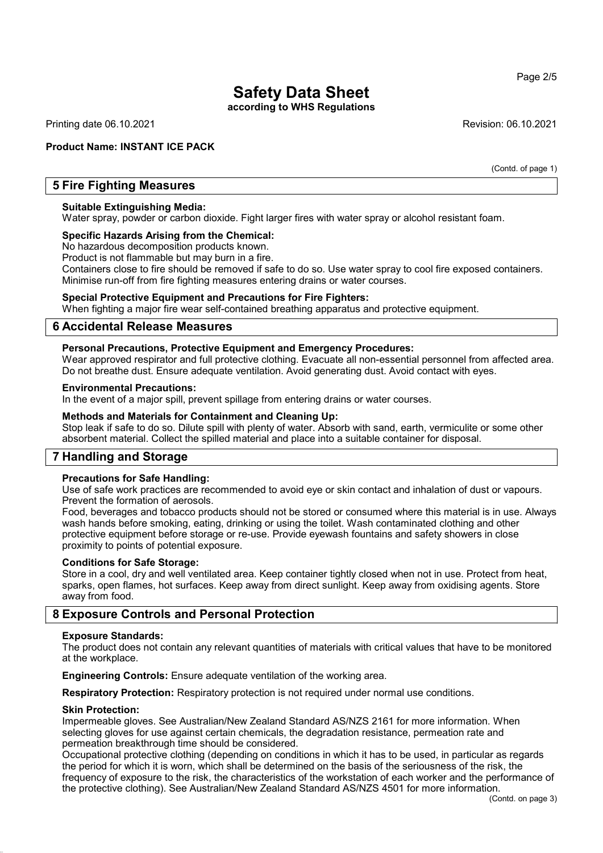# Safety Data Sheet

according to WHS Regulations

Printing date 06.10.2021 Revision: 06.10.2021

## Product Name: INSTANT ICE PACK

(Contd. of page 1)

# 5 Fire Fighting Measures

## Suitable Extinguishing Media:

Water spray, powder or carbon dioxide. Fight larger fires with water spray or alcohol resistant foam.

## Specific Hazards Arising from the Chemical:

No hazardous decomposition products known.

Product is not flammable but may burn in a fire.

Containers close to fire should be removed if safe to do so. Use water spray to cool fire exposed containers. Minimise run-off from fire fighting measures entering drains or water courses.

## Special Protective Equipment and Precautions for Fire Fighters:

When fighting a major fire wear self-contained breathing apparatus and protective equipment.

## 6 Accidental Release Measures

## Personal Precautions, Protective Equipment and Emergency Procedures:

Wear approved respirator and full protective clothing. Evacuate all non-essential personnel from affected area. Do not breathe dust. Ensure adequate ventilation. Avoid generating dust. Avoid contact with eyes.

#### Environmental Precautions:

In the event of a major spill, prevent spillage from entering drains or water courses.

#### Methods and Materials for Containment and Cleaning Up:

Stop leak if safe to do so. Dilute spill with plenty of water. Absorb with sand, earth, vermiculite or some other absorbent material. Collect the spilled material and place into a suitable container for disposal.

# 7 Handling and Storage

## Precautions for Safe Handling:

Use of safe work practices are recommended to avoid eye or skin contact and inhalation of dust or vapours. Prevent the formation of aerosols.

Food, beverages and tobacco products should not be stored or consumed where this material is in use. Always wash hands before smoking, eating, drinking or using the toilet. Wash contaminated clothing and other protective equipment before storage or re-use. Provide eyewash fountains and safety showers in close proximity to points of potential exposure.

## Conditions for Safe Storage:

Store in a cool, dry and well ventilated area. Keep container tightly closed when not in use. Protect from heat, sparks, open flames, hot surfaces. Keep away from direct sunlight. Keep away from oxidising agents. Store away from food.

# 8 Exposure Controls and Personal Protection

## Exposure Standards:

The product does not contain any relevant quantities of materials with critical values that have to be monitored at the workplace.

Engineering Controls: Ensure adequate ventilation of the working area.

Respiratory Protection: Respiratory protection is not required under normal use conditions.

## Skin Protection:

Impermeable gloves. See Australian/New Zealand Standard AS/NZS 2161 for more information. When selecting gloves for use against certain chemicals, the degradation resistance, permeation rate and permeation breakthrough time should be considered.

Occupational protective clothing (depending on conditions in which it has to be used, in particular as regards the period for which it is worn, which shall be determined on the basis of the seriousness of the risk, the frequency of exposure to the risk, the characteristics of the workstation of each worker and the performance of the protective clothing). See Australian/New Zealand Standard AS/NZS 4501 for more information.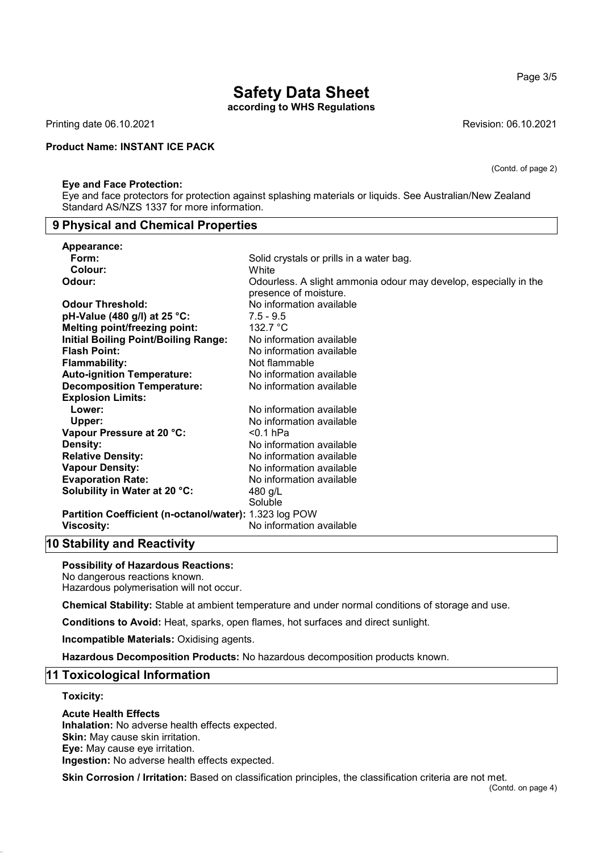(Contd. of page 2)

# Safety Data Sheet

according to WHS Regulations

Printing date 06.10.2021 Revision: 06.10.2021

## Product Name: INSTANT ICE PACK

#### Eye and Face Protection:

Eye and face protectors for protection against splashing materials or liquids. See Australian/New Zealand Standard AS/NZS 1337 for more information.

## 9 Physical and Chemical Properties

| Appearance:                                            |                                                                                           |
|--------------------------------------------------------|-------------------------------------------------------------------------------------------|
| Form:                                                  | Solid crystals or prills in a water bag.                                                  |
| Colour:                                                | White                                                                                     |
| Odour:                                                 | Odourless. A slight ammonia odour may develop, especially in the<br>presence of moisture. |
| <b>Odour Threshold:</b>                                | No information available                                                                  |
| pH-Value (480 g/l) at 25 °C:                           | $7.5 - 9.5$                                                                               |
| <b>Melting point/freezing point:</b>                   | 132.7 °C                                                                                  |
| <b>Initial Boiling Point/Boiling Range:</b>            | No information available                                                                  |
| <b>Flash Point:</b>                                    | No information available                                                                  |
| <b>Flammability:</b>                                   | Not flammable                                                                             |
| <b>Auto-ignition Temperature:</b>                      | No information available                                                                  |
| <b>Decomposition Temperature:</b>                      | No information available                                                                  |
| <b>Explosion Limits:</b>                               |                                                                                           |
| Lower:                                                 | No information available                                                                  |
| Upper:                                                 | No information available                                                                  |
| Vapour Pressure at 20 °C:                              | $<$ 0.1 hPa                                                                               |
| Density:                                               | No information available                                                                  |
| <b>Relative Density:</b>                               | No information available                                                                  |
| <b>Vapour Density:</b>                                 | No information available                                                                  |
| <b>Evaporation Rate:</b>                               | No information available                                                                  |
| Solubility in Water at 20 °C:                          | 480 g/L                                                                                   |
|                                                        | Soluble                                                                                   |
| Partition Coefficient (n-octanol/water): 1.323 log POW |                                                                                           |
| <b>Viscosity:</b>                                      | No information available                                                                  |

# 10 Stability and Reactivity

#### Possibility of Hazardous Reactions:

No dangerous reactions known. Hazardous polymerisation will not occur.

Chemical Stability: Stable at ambient temperature and under normal conditions of storage and use.

Conditions to Avoid: Heat, sparks, open flames, hot surfaces and direct sunlight.

Incompatible Materials: Oxidising agents.

Hazardous Decomposition Products: No hazardous decomposition products known.

## 11 Toxicological Information

## Toxicity:

## Acute Health Effects

Inhalation: No adverse health effects expected. Skin: May cause skin irritation. Eye: May cause eye irritation. Ingestion: No adverse health effects expected.

Skin Corrosion / Irritation: Based on classification principles, the classification criteria are not met.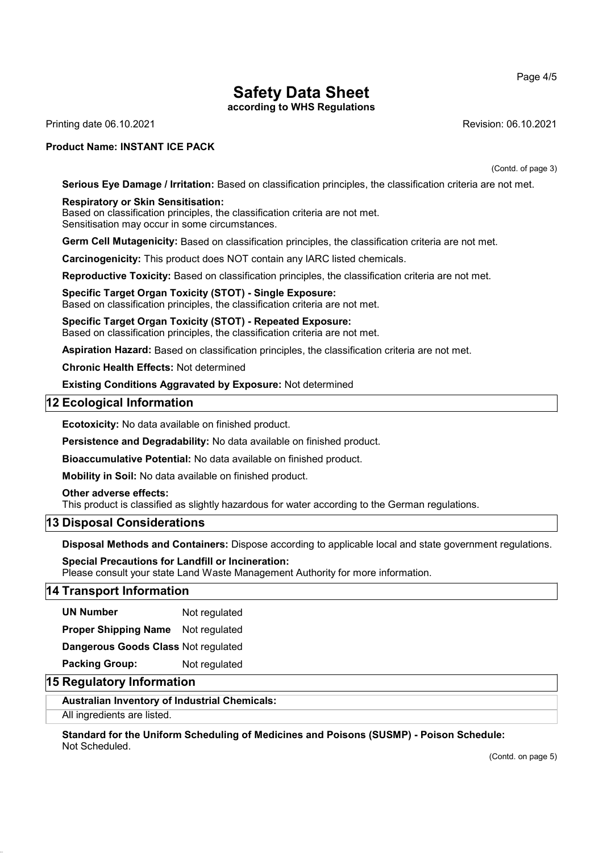Page 4/5

# Safety Data Sheet

according to WHS Regulations

Printing date 06.10.2021 Revision: 06.10.2021

## Product Name: INSTANT ICE PACK

(Contd. of page 3)

Serious Eye Damage / Irritation: Based on classification principles, the classification criteria are not met.

## Respiratory or Skin Sensitisation:

Based on classification principles, the classification criteria are not met. Sensitisation may occur in some circumstances.

Germ Cell Mutagenicity: Based on classification principles, the classification criteria are not met.

Carcinogenicity: This product does NOT contain any IARC listed chemicals.

Reproductive Toxicity: Based on classification principles, the classification criteria are not met.

# Specific Target Organ Toxicity (STOT) - Single Exposure:

Based on classification principles, the classification criteria are not met.

Specific Target Organ Toxicity (STOT) - Repeated Exposure: Based on classification principles, the classification criteria are not met.

Aspiration Hazard: Based on classification principles, the classification criteria are not met.

Chronic Health Effects: Not determined

Existing Conditions Aggravated by Exposure: Not determined

## 12 Ecological Information

Ecotoxicity: No data available on finished product.

Persistence and Degradability: No data available on finished product.

Bioaccumulative Potential: No data available on finished product.

Mobility in Soil: No data available on finished product.

## Other adverse effects:

This product is classified as slightly hazardous for water according to the German regulations.

## 13 Disposal Considerations

Disposal Methods and Containers: Dispose according to applicable local and state government regulations.

## Special Precautions for Landfill or Incineration:

Please consult your state Land Waste Management Authority for more information.

## 14 Transport Information

UN Number Not regulated

Proper Shipping Name Not regulated

Dangerous Goods Class Not regulated

Packing Group: Not regulated

# 15 Regulatory Information

Australian Inventory of Industrial Chemicals:

All ingredients are listed.

Standard for the Uniform Scheduling of Medicines and Poisons (SUSMP) - Poison Schedule: Not Scheduled.

(Contd. on page 5)